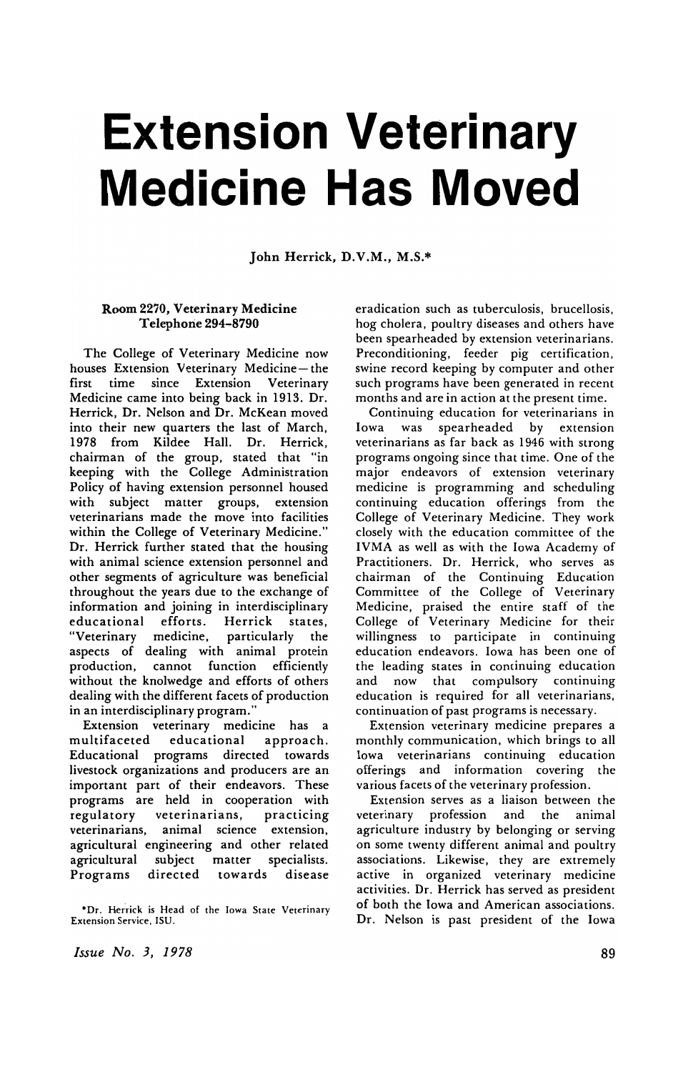## **Extension Veterinary Medicine Has Moved**

John Herrick, D.V.M., M.S.\*

## Room 2270, Veterinary Medicine Telephone 294-8790

The College of Veterinary Medicine now houses Extension Veterinary Medicine- the first time since Extension Veterinary Medicine came into being back in 1913. Dr. Herrick, Dr. Nelson and Dr. McKean moved into their new quarters the last of March, 1978 from Kildee Hall. Dr. Herrick, chairman of the group, stated that "in keeping with the College Administration Policy of having extension personnel housed with subject matter groups, extension veterinarians made the move into facilities within the College of Veterinary Medicine." Dr. Herrick further stated that the housing with animal science extension personnel and other segments of agriculture was beneficial throughout the years due to the exchange of information and joining in interdisciplinary educational efforts. Herrick states, "Veterinary medicine, aspects of dealing with animal protein production, cannot function efficiently without the knolwedge and efforts of others dealing with the different facets of production in an interdisciplinary program."

Extension veterinary medicine has a multifaceted educational approach. Educational programs directed towards livestock organizations and producers are an important part of their endeavors. These programs are held in cooperation with regulatory veterinarians, practicing veterinarians, animal science extension, agricultural engineering and other related agricultural subject matter specialists. Programs directed towards disease

\*Dr. Herrick is Head of the Iowa State Veterinary Extension Service. ISU.

*Issue No.3, 1978* 

eradication such as tuberculosis, brucellosis, hog cholera, poultry diseases and others have been spearheaded by extension veterinarians. Preconditioning, feeder pig certification, swine record keeping by computer and other such programs have been generated in recent months and are in action at the present time.

Continuing education for veterinarians in Iowa was spearheaded by extension veterinarians as far back as 1946 with strong programs ongoing since that time. One of the major endeavors of extension veterinary medicine is programming and scheduling continuing education offerings from the College of Veterinary Medicine. They work closely with the education committee of the IVMA as well as with the Iowa Academy of Practitioners. Dr. Herrick, who serves as chairman of the Continuing Education Committee of the College of Veterinary Medicine. praised the entire staff of the College of Veterinary Medicine for their willingness to participate in continuing education endeavors. Iowa has been one of the leading states in continuing education and now that compulsory continuing education is required for all veterinarians. continuation of past programs is necessary.

Extension veterinary medicine prepares a monthly communication. which brings to all Iowa veterinarians continuing education offerings and information covering the various facets of the veterinary profession.

Extension serves as a liaison between the veterinary profession and the animal agriculture industry by belonging or serving on some twenty different animal and poultry associations. Likewise. they are extremely active in organized veterinary medicine activities. Dr. Herrick has served as president of both the Iowa and American associations. Dr. Nelson is past president of the Iowa